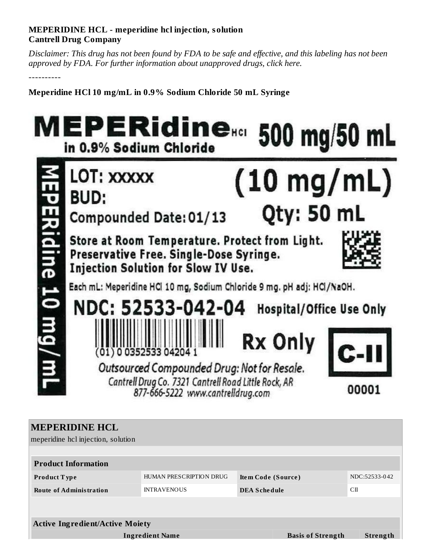## **MEPERIDINE HCL - meperidine hcl injection, solution Cantrell Drug Company**

Disclaimer: This drug has not been found by FDA to be safe and effective, and this labeling has not been *approved by FDA. For further information about unapproved drugs, click here.*

----------

**Meperidine HCl 10 mg/mL in 0.9% Sodium Chloride 50 mL Syringe**



| <b>MEPERIDINE HCL</b><br>meperidine hcl injection, solution |                         |                     |                          |               |  |  |
|-------------------------------------------------------------|-------------------------|---------------------|--------------------------|---------------|--|--|
|                                                             |                         |                     |                          |               |  |  |
| <b>Product Information</b>                                  |                         |                     |                          |               |  |  |
| <b>Product Type</b>                                         | HUMAN PRESCRIPTION DRUG | Item Code (Source)  |                          | NDC:52533-042 |  |  |
| <b>Route of Administration</b>                              | <b>INTRAVENOUS</b>      | <b>DEA Schedule</b> | CП                       |               |  |  |
|                                                             |                         |                     |                          |               |  |  |
|                                                             |                         |                     |                          |               |  |  |
| <b>Active Ingredient/Active Moiety</b>                      |                         |                     |                          |               |  |  |
| <b>Ingredient Name</b>                                      |                         |                     | <b>Basis of Strength</b> | Strength      |  |  |